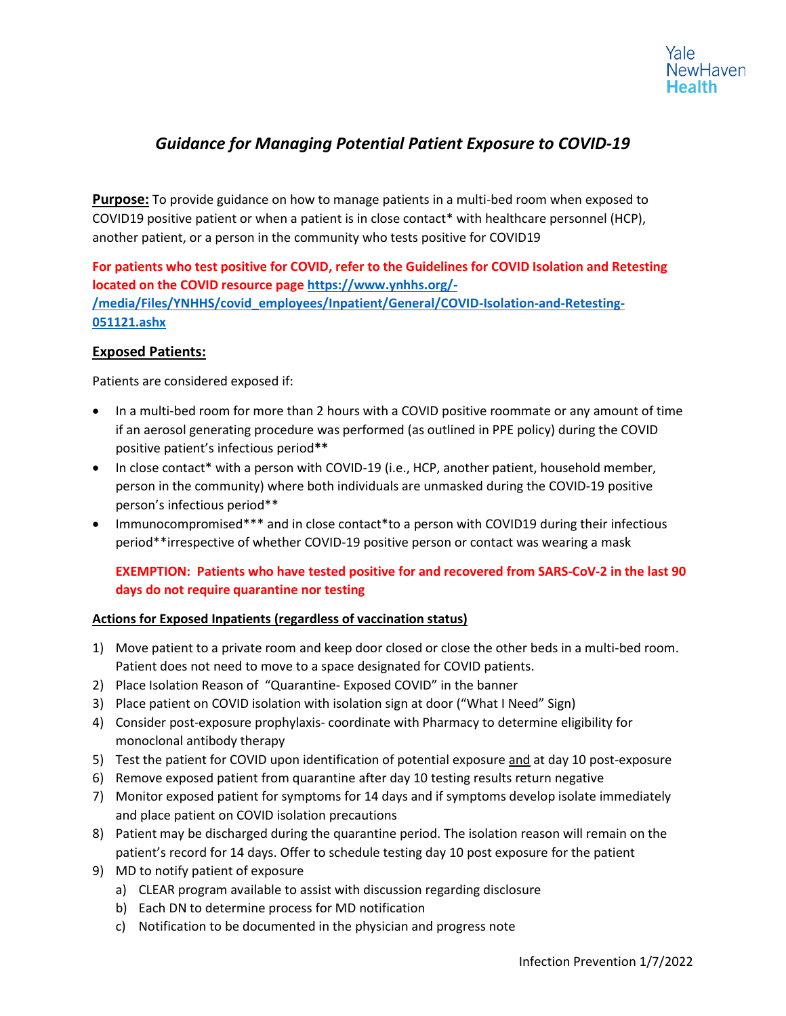# *Guidance for Managing Potential Patient Exposure to COVID-19*

**Purpose:** To provide guidance on how to manage patients in a multi-bed room when exposed to COVID19 positive patient or when a patient is in close contact\* with healthcare personnel (HCP), another patient, or a person in the community who tests positive for COVID19

**For patients who test positive for COVID, refer to the Guidelines for COVID Isolation and Retesting located on the COVID resource page [https://www.ynhhs.org/-](https://www.ynhhs.org/-/media/Files/YNHHS/covid_employees/Inpatient/General/COVID-Isolation-and-Retesting-051121.ashx) [/media/Files/YNHHS/covid\\_employees/Inpatient/General/COVID-Isolation-and-Retesting-](https://www.ynhhs.org/-/media/Files/YNHHS/covid_employees/Inpatient/General/COVID-Isolation-and-Retesting-051121.ashx)[051121.ashx](https://www.ynhhs.org/-/media/Files/YNHHS/covid_employees/Inpatient/General/COVID-Isolation-and-Retesting-051121.ashx)**

## **Exposed Patients:**

Patients are considered exposed if:

- In a multi-bed room for more than 2 hours with a COVID positive roommate or any amount of time if an aerosol generating procedure was performed (as outlined in PPE policy) during the COVID positive patient's infectious period**\*\***
- In close contact\* with a person with COVID-19 (i.e., HCP, another patient, household member, person in the community) where both individuals are unmasked during the COVID-19 positive person's infectious period\*\*
- Immunocompromised\*\*\* and in close contact\*to a person with COVID19 during their infectious period\*\*irrespective of whether COVID-19 positive person or contact was wearing a mask

# **EXEMPTION: Patients who have tested positive for and recovered from SARS-CoV-2 in the last 90 days do not require quarantine nor testing**

#### **Actions for Exposed Inpatients (regardless of vaccination status)**

- 1) Move patient to a private room and keep door closed or close the other beds in a multi-bed room. Patient does not need to move to a space designated for COVID patients.
- 2) Place Isolation Reason of "Quarantine- Exposed COVID" in the banner
- 3) Place patient on COVID isolation with isolation sign at door ("What I Need" Sign)
- 4) Consider post-exposure prophylaxis- coordinate with Pharmacy to determine eligibility for monoclonal antibody therapy
- 5) Test the patient for COVID upon identification of potential exposure and at day 10 post-exposure
- 6) Remove exposed patient from quarantine after day 10 testing results return negative
- 7) Monitor exposed patient for symptoms for 14 days and if symptoms develop isolate immediately and place patient on COVID isolation precautions
- 8) Patient may be discharged during the quarantine period. The isolation reason will remain on the patient's record for 14 days. Offer to schedule testing day 10 post exposure for the patient
- 9) MD to notify patient of exposure
	- a) CLEAR program available to assist with discussion regarding disclosure
	- b) Each DN to determine process for MD notification
	- c) Notification to be documented in the physician and progress note